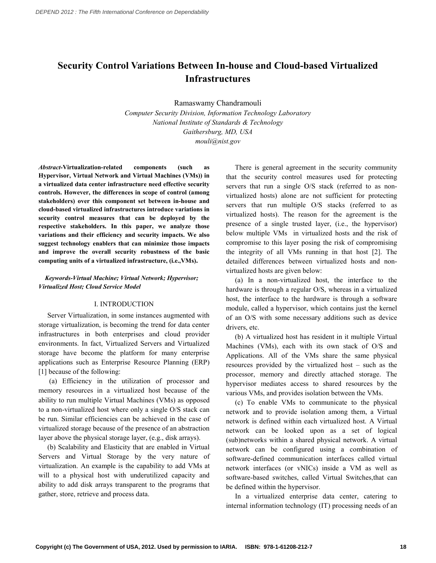# **Security Control Variations Between In-house and Cloud-based Virtualized Infrastructures**

Ramaswamy Chandramouli

 *Computer Security Division, Information Technology Laboratory National Institute of Standards & Technology Gaithersburg, MD, USA mouli@nist.gov*

components (such as  **Hypervisor, Virtual Network and Virtual Machines (VMs)) in a virtualized data center infrastructure need effective security controls. However, the differences in scope of control (among stakeholders) over this component set between inhouse and cloudbased virtualized infrastructures introduce variations in security control measures that can be deployed by the respective stakeholders. In this paper, we analyze those variations and their efficiency and security impacts. We also suggest technology enablers that can minimize those impacts and improve the overall security robustness of the basic computing units of a virtualized infrastructure, (i.e.,VMs).**  $Abstract-Virtualization-related$ 

#### *KeywordsVirtual Machine; Virtual Network; Hypervisor; Virtualized Host; Cloud Service Model*

#### I. INTRODUCTION

 Server Virtualization, in some instances augmented with storage virtualization, is becoming the trend for data center infrastructures in both enterprises and cloud provider environments. In fact, Virtualized Servers and Virtualized storage have become the platform for many enterprise applications such as Enterprise Resource Planning (ERP) [1] because of the following:

 (a) Efficiency in the utilization of processor and memory resources in a virtualized host because of the ability to run multiple Virtual Machines (VMs) as opposed to a non-virtualized host where only a single O/S stack can be run. Similar efficiencies can be achieved in the case of virtualized storage because of the presence of an abstraction layer above the physical storage layer, (e.g., disk arrays).

 (b) Scalability and Elasticity that are enabled in Virtual Servers and Virtual Storage by the very nature of virtualization. An example is the capability to add VMs at will to a physical host with underutilized capacity and ability to add disk arrays transparent to the programs that gather, store, retrieve and process data.

 There is general agreement in the security community that the security control measures used for protecting servers that run a single O/S stack (referred to as non- virtualized hosts) alone are not sufficient for protecting servers that run multiple O/S stacks (referred to as virtualized hosts). The reason for the agreement is the presence of a single trusted layer, (i.e., the hypervisor) below multiple VMs in virtualized hosts and the risk of compromise to this layer posing the risk of compromising the integrity of all VMs running in that host [2]. The detailed differences between virtualized hosts and non-virtualized hosts are given below:

 (a) In a non-virtualized host, the interface to the hardware is through a regular O/S, whereas in a virtualized host, the interface to the hardware is through a software module, called a hypervisor, which contains just the kernel of an O/S with some necessary additions such as device drivers, etc.

 (b) A virtualized host has resident in it multiple Virtual Machines (VMs), each with its own stack of O/S and Applications. All of the VMs share the same physical resources provided by the virtualized host – such as the processor, memory and directly attached storage. The hypervisor mediates access to shared resources by the various VMs, and provides isolation between the VMs.

 (c) To enable VMs to communicate to the physical network and to provide isolation among them, a Virtual network can be looked upon as a set of logical (sub)networks within a shared physical network. A virtual network can be configured using a combination of software-defined communication interfaces called virtual network interfaces (or vNICs) inside a VM as well as software-based switches, called Virtual Switches,that can be defined within the hypervisor. network is defined within each virtualized host. A Virtual

 In a virtualized enterprise data center, catering to internal information technology (IT) processing needs of an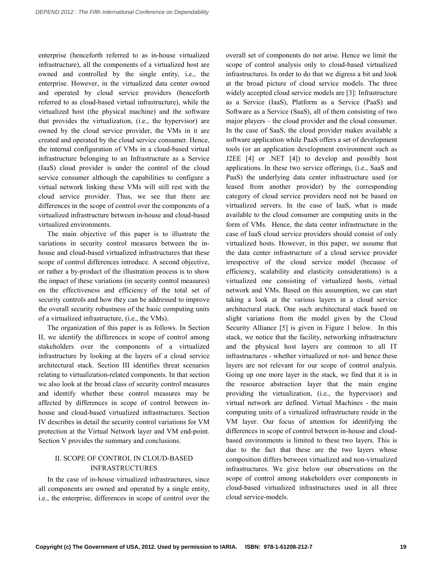enterprise (henceforth referred to as in-house virtualized infrastructure), all the components of a virtualized host are owned and controlled by the single entity, i.e., the enterprise. However, in the virtualized data center owned and operated by cloud service providers (henceforth referred to as cloud-based virtual infrastructure), while the virtualized host (the physical machine) and the software that provides the virtualization, (i.e., the hypervisor) are owned by the cloud service provider, the VMs in it are created and operated by the cloud service consumer. Hence, the internal configuration of VMs in a cloud-based virtual infrastructure belonging to an Infrastructure as a Service (IaaS) cloud provider is under the control of the cloud service consumer although the capabilities to configure a virtual network linking these VMs will still rest with the cloud service provider. Thus, we see that there are differences in the scope of control over the components of a virtualized infrastructure between in-house and cloud-based virtualized environments.

 The main objective of this paper is to illustrate the variations in security control measures between the in- house and cloud-based virtualized infrastructures that these scope of control differences introduce. A second objective, or rather a by-product of the illustration process is to show the impact of these variations (in security control measures) on the effectiveness and efficiency of the total set of security controls and how they can be addressed to improve the overall security robustness of the basic computing units of a virtualized infrastructure, (i.e., the VMs).

 The organization of this paper is as follows. In Section II, we identify the differences in scope of control among stakeholders over the components of a virtualized infrastructure by looking at the layers of a cloud service architectural stack. Section III identifies threat scenarios relating to virtualization-related components. In that section we also look at the broad class of security control measures and identify whether these control measures may be affected by differences in scope of control between in- house and cloud-based virtualized infrastructures. Section IV describes in detail the security control variations for VM protection at the Virtual Network layer and VM end-point. Section V provides the summary and conclusions.

#### II. SCOPE OF CONTROL IN CLOUD-BASED INFRASTRUCTURES

 In the case of in-house virtualized infrastructures, since all components are owned and operated by a single entity, i.e., the enterprise, differences in scope of control over the

 overall set of components do not arise. Hence we limit the scope of control analysis only to cloud-based virtualized infrastructures. In order to do that we digress a bit and look at the broad picture of cloud service models. The three widely accepted cloud service models are [3]: Infrastructure as a Service (IaaS), Platform as a Service (PaaS) and Software as a Service (SaaS), all of them consisting of two major players – the cloud provider and the cloud consumer. In the case of SaaS, the cloud provider makes available a software application while PaaS offers a set of development tools (or an application development environment such as J2EE [4] or .NET [4]) to develop and possibly host applications. In these two service offerings, (i.e., SaaS and PaaS) the underlying data center infrastructure used (or leased from another provider) by the corresponding category of cloud service providers need not be based on virtualized servers. In the case of IaaS, what is made available to the cloud consumer are computing units in the form of VMs. Hence, the data center infrastructure in the case of IaaS cloud service providers should consist of only virtualized hosts. However, in this paper, we assume that the data center infrastructure of a cloud service provider irrespective of the cloud service model (because of efficiency, scalability and elasticity considerations) is a virtualized one consisting of virtualized hosts, virtual network and VMs. Based on this assumption, we can start taking a look at the various layers in a cloud service architectural stack. One such architectural stack based on slight variations from the model given by the Cloud Security Alliance [5] is given in Figure 1 below. In this stack, we notice that the facility, networking infrastructure and the physical host layers are common to all IT infrastructures - whether virtualized or not- and hence these layers are not relevant for our scope of control analysis. Going up one more layer in the stack, we find that it is in the resource abstraction layer that the main engine providing the virtualization, (i.e., the hypervisor) and virtual network are defined. Virtual Machines - the main computing units of a virtualized infrastructure reside in the VM layer. Our focus of attention for identifying the differences in scope of control between in-house and cloud- based environments is limited to these two layers. This is due to the fact that these are the two layers whose composition differs between virtualized and non-virtualized infrastructures. We give below our observations on the scope of control among stakeholders over components in cloud-based virtualized infrastructures used in all three cloud service-models.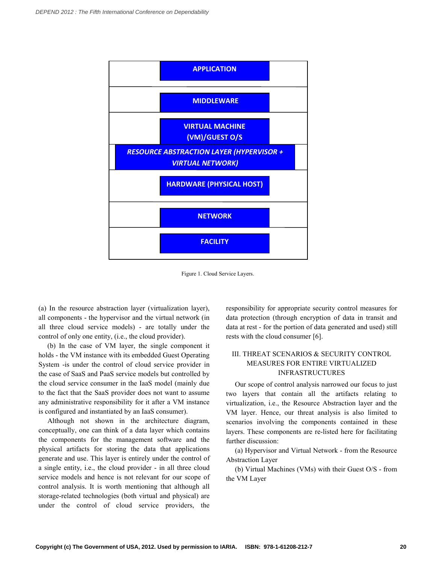

Figure 1. Cloud Service Layers.

 (a) In the resource abstraction layer (virtualization layer), all components - the hypervisor and the virtual network (in control of only one entity, (i.e., the cloud provider). all three cloud service models) - are totally under the

 (b) In the case of VM layer, the single component it holds - the VM instance with its embedded Guest Operating System -is under the control of cloud service provider in the case of SaaS and PaaS service models but controlled by the cloud service consumer in the IaaS model (mainly due to the fact that the SaaS provider does not want to assume any administrative responsibility for it after a VM instance is configured and instantiated by an IaaS consumer).

 Although not shown in the architecture diagram, conceptually, one can think of a data layer which contains the components for the management software and the physical artifacts for storing the data that applications generate and use. This layer is entirely under the control of a single entity, i.e., the cloud provider - in all three cloud service models and hence is not relevant for our scope of control analysis. It is worth mentioning that although all storage-related technologies (both virtual and physical) are under the control of cloud service providers, the  responsibility for appropriate security control measures for data protection (through encryption of data in transit and data at rest - for the portion of data generated and used) still rests with the cloud consumer [6].

#### III. THREAT SCENARIOS & SECURITY CONTROL MEASURES FOR ENTIRE VIRTUALIZED INFRASTRUCTURES

 Our scope of control analysis narrowed our focus to just two layers that contain all the artifacts relating to virtualization, i.e., the Resource Abstraction layer and the VM layer. Hence, our threat analysis is also limited to scenarios involving the components contained in these layers. These components are re-listed here for facilitating further discussion:

 (a) Hypervisor and Virtual Network - from the Resource Abstraction Layer

 (b) Virtual Machines (VMs) with their Guest O/S - from the VM Layer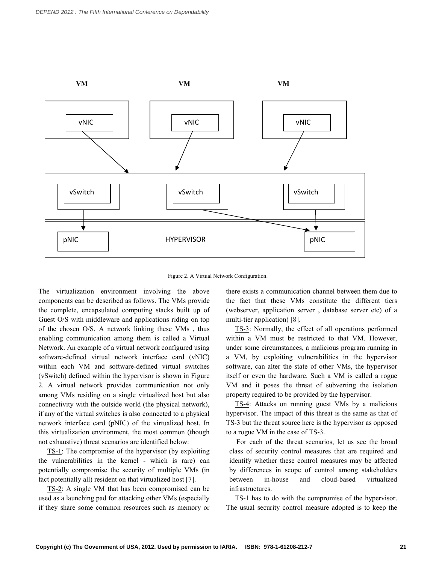

Figure 2. A Virtual Network Configuration.

 The virtualization environment involving the above components can be described as follows. The VMs provide the complete, encapsulated computing stacks built up of Guest O/S with middleware and applications riding on top of the chosen O/S. A network linking these VMs , thus enabling communication among them is called a Virtual Network. An example of a virtual network configured using software-defined virtual network interface card (vNIC) within each VM and software-defined virtual switches (vSwitch) defined within the hypervisor is shown in Figure 2. A virtual network provides communication not only among VMs residing on a single virtualized host but also connectivity with the outside world (the physical network), if any of the virtual switches is also connected to a physical network interface card (pNIC) of the virtualized host. In this virtualization environment, the most common (though not exhaustive) threat scenarios are identified below:

TS-1: The compromise of the hypervisor (by exploiting the vulnerabilities in the kernel - which is rare) can potentially compromise the security of multiple VMs (in fact potentially all) resident on that virtualized host [7].

TS-2: A single VM that has been compromised can be used as a launching pad for attacking other VMs (especially if they share some common resources such as memory or  there exists a communication channel between them due to the fact that these VMs constitute the different tiers (webserver, application server , database server etc) of a multi-tier application) [8].

 TS-3: Normally, the effect of all operations performed within a VM must be restricted to that VM. However, under some circumstances, a malicious program running in a VM, by exploiting vulnerabilities in the hypervisor software, can alter the state of other VMs, the hypervisor itself or even the hardware. Such a VM is called a rogue VM and it poses the threat of subverting the isolation property required to be provided by the hypervisor.

TS-4: Attacks on running guest VMs by a malicious hypervisor. The impact of this threat is the same as that of TS-3 but the threat source here is the hypervisor as opposed to a rogue VM in the case of TS-3.

 For each of the threat scenarios, let us see the broad class of security control measures that are required and identify whether these control measures may be affected by differences in scope of control among stakeholders hetween in-house and cloud-based virtualized infrastructures.

 TS-1 has to do with the compromise of the hypervisor. The usual security control measure adopted is to keep the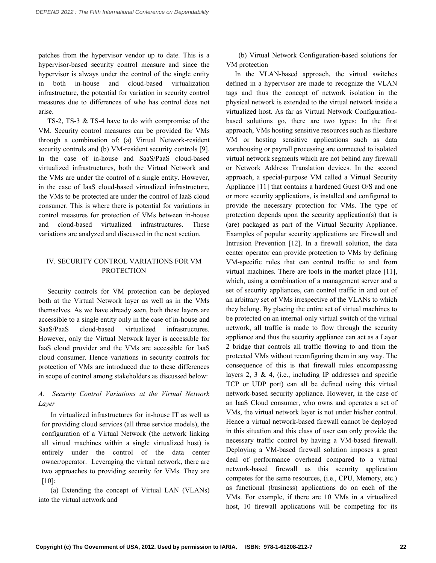patches from the hypervisor vendor up to date. This is a hypervisor-based security control measure and since the hypervisor is always under the control of the single entity in both in-house and infrastructure, the potential for variation in security control measures due to differences of who has control does not cloud-based virtualization arise.

 TS-2, TS-3 & TS-4 have to do with compromise of the VM. Security control measures can be provided for VMs through a combination of: (a) Virtual Network-resident security controls and (b) VM-resident security controls [9]. In the case of in-house and SaaS/PaaS cloud-based virtualized infrastructures, both the Virtual Network and the VMs are under the control of a single entity. However, in the case of IaaS cloud-based virtualized infrastructure, the VMs to be protected are under the control of IaaS cloud consumer. This is where there is potential for variations in control measures for protection of VMs between in-house These variations are analyzed and discussed in the next section. and cloud-based virtualized infrastructures.

### IV. SECURITY CONTROL VARIATIONS FOR VM PROTECTION

 Security controls for VM protection can be deployed both at the Virtual Network layer as well as in the VMs themselves. As we have already seen, both these layers are accessible to a single entity only in the case of in-house and However, only the Virtual Network layer is accessible for IaaS cloud provider and the VMs are accessible for IaaS cloud consumer. Hence variations in security controls for protection of VMs are introduced due to these differences in scope of control among stakeholders as discussed below: SaaS/PaaS cloud-based virtualized infrastructures.

## *A. Security Control Variations at the Virtual Network Layer*

 In virtualized infrastructures for in-house IT as well as for providing cloud services (all three service models), the configuration of a Virtual Network (the network linking all virtual machines within a single virtualized host) is entirely under the control of the data center owner/operator. Leveraging the virtual network, there are two approaches to providing security for VMs. They are [10]:

 (a) Extending the concept of Virtual LAN (VLANs) into the virtual network and

 (b) Virtual Network Configuration-based solutions for VM protection

 In the VLAN-based approach, the virtual switches defined in a hypervisor are made to recognize the VLAN tags and thus the concept of network isolation in the physical network is extended to the virtual network inside a virtualized host. As far as Virtual Network Configuration- based solutions go, there are two types: In the first approach, VMs hosting sensitive resources such as fileshare VM or hosting sensitive applications such as data warehousing or payroll processing are connected to isolated virtual network segments which are not behind any firewall or Network Address Translation devices. In the second approach, a special-purpose VM called a Virtual Security Appliance [11] that contains a hardened Guest O/S and one or more security applications, is installed and configured to provide the necessary protection for VMs. The type of protection depends upon the security application(s) that is (are) packaged as part of the Virtual Security Appliance. Examples of popular security applications are Firewall and Intrusion Prevention [12]. In a firewall solution, the data center operator can provide protection to VMs by defining VM-specific rules that can control traffic to and from virtual machines. There are tools in the market place [11], which, using a combination of a management server and a set of security appliances, can control traffic in and out of an arbitrary set of VMs irrespective of the VLANs to which they belong. By placing the entire set of virtual machines to be protected on an internal-only virtual switch of the virtual network, all traffic is made to flow through the security appliance and thus the security appliance can act as a Layer 2 bridge that controls all traffic flowing to and from the protected VMs without reconfiguring them in any way. The consequence of this is that firewall rules encompassing layers  $2, 3 \& 4$ , (i.e., including IP addresses and specific TCP or UDP port) can all be defined using this virtual network-based security appliance. However, in the case of an IaaS Cloud consumer, who owns and operates a set of VMs, the virtual network layer is not under his/her control. Hence a virtual network-based firewall cannot be deployed in this situation and this class of user can only provide the necessary traffic control by having a VM-based firewall. Deploying a VM-based firewall solution imposes a great deal of performance overhead compared to a virtual network-based firewall as this security application competes for the same resources, (i.e., CPU, Memory, etc.) as functional (business) applications do on each of the VMs. For example, if there are 10 VMs in a virtualized host, 10 firewall applications will be competing for its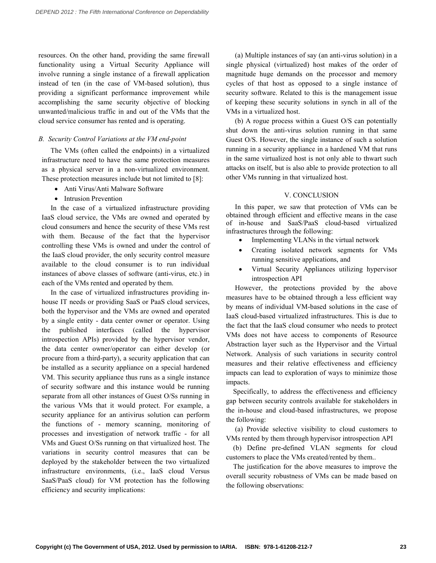resources. On the other hand, providing the same firewall functionality using a Virtual Security Appliance will involve running a single instance of a firewall application instead of ten (in the case of VM-based solution), thus providing a significant performance improvement while accomplishing the same security objective of blocking unwanted/malicious traffic in and out of the VMs that the cloud service consumer has rented and is operating.

# *B. Security Control Variations at the VM endpoint*

 The VMs (often called the endpoints) in a virtualized infrastructure need to have the same protection measures as a physical server in a non-virtualized environment. These protection measures include but not limited to [8]:

- Anti Virus/Anti Malware Software
- Intrusion Prevention

 In the case of a virtualized infrastructure providing IaaS cloud service, the VMs are owned and operated by cloud consumers and hence the security of these VMs rest with them. Because of the fact that the hypervisor controlling these VMs is owned and under the control of the IaaS cloud provider, the only security control measure available to the cloud consumer is to run individual instances of above classes of software (anti-virus, etc.) in each of the VMs rented and operated by them.

 In the case of virtualized infrastructures providing in- house IT needs or providing SaaS or PaaS cloud services, both the hypervisor and the VMs are owned and operated by a single entity - data center owner or operator. Using the published interfaces (called the hypervisor introspection APIs) provided by the hypervisor vendor, the data center owner/operator can either develop (or procure from a third-party), a security application that can be installed as a security appliance on a special hardened VM. This security appliance thus runs as a single instance of security software and this instance would be running separate from all other instances of Guest O/Ss running in the various VMs that it would protect. For example, a security appliance for an antivirus solution can perform the functions of - memory scanning, monitoring of processes and investigation of network traffic - for all VMs and Guest O/Ss running on that virtualized host. The variations in security control measures that can be deployed by the stakeholder between the two virtualized infrastructure environments, (i.e., IaaS cloud Versus SaaS/PaaS cloud) for VM protection has the following efficiency and security implications:

 (a) Multiple instances of say (an anti-virus solution) in a single physical (virtualized) host makes of the order of magnitude huge demands on the processor and memory cycles of that host as opposed to a single instance of security software. Related to this is the management issue of keeping these security solutions in synch in all of the VMs in a virtualized host.

 (b) A rogue process within a Guest O/S can potentially shut down the anti-virus solution running in that same Guest O/S. However, the single instance of such a solution running in a security appliance in a hardened VM that runs in the same virtualized host is not only able to thwart such attacks on itself, but is also able to provide protection to all other VMs running in that virtualized host.

# V. CONCLUSION

 In this paper, we saw that protection of VMs can be obtained through efficient and effective means in the case of in-house and SaaS/PaaS cloud-based virtualized infrastructures through the following:

- Implementing VLANs in the virtual network
- • Creating isolated network segments for VMs running sensitive applications, and
- • Virtual Security Appliances utilizing hypervisor introspection API

 However, the protections provided by the above measures have to be obtained through a less efficient way by means of individual VM-based solutions in the case of IaaS cloud-based virtualized infrastructures. This is due to the fact that the IaaS cloud consumer who needs to protect VMs does not have access to components of Resource Abstraction layer such as the Hypervisor and the Virtual Network. Analysis of such variations in security control measures and their relative effectiveness and efficiency impacts can lead to exploration of ways to minimize those impacts.

 Specifically, to address the effectiveness and efficiency gap between security controls available for stakeholders in the in-house and cloud-based infrastructures, we propose the following:

 (a) Provide selective visibility to cloud customers to VMs rented by them through hypervisor introspection API

 (b) Define pre-defined VLAN segments for cloud customers to place the VMs created/rented by them..

 The justification for the above measures to improve the overall security robustness of VMs can be made based on the following observations: